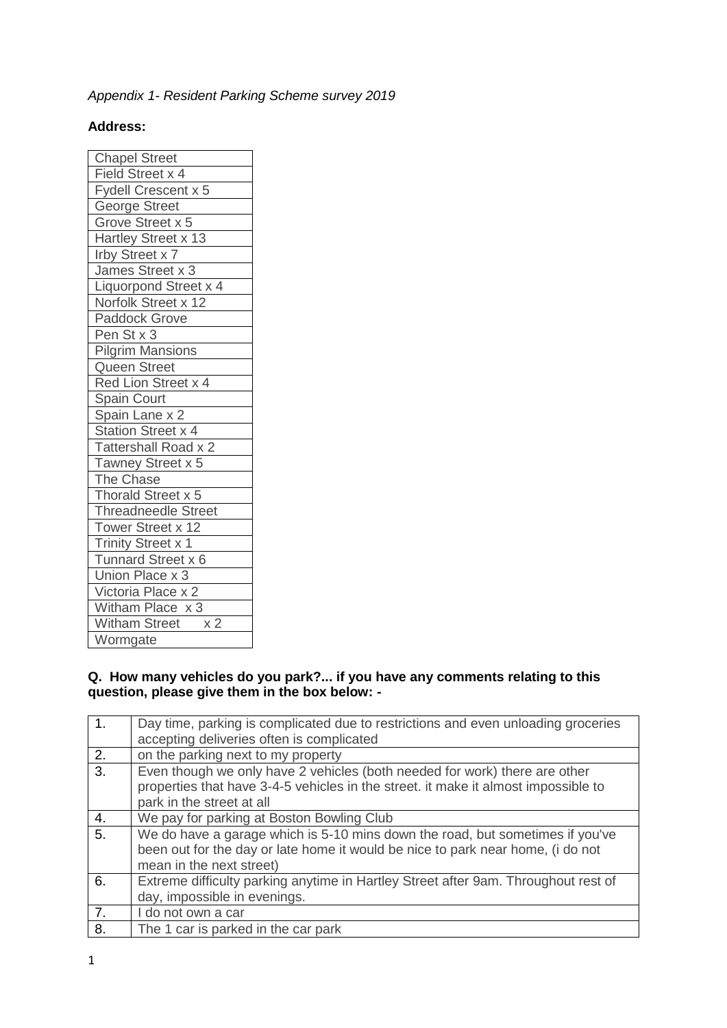# *Appendix 1- Resident Parking Scheme survey 2019*

## **Address:**

| <b>Chapel Street</b>                   |
|----------------------------------------|
| Field Street x 4                       |
| Fydell Crescent x 5                    |
| George Street                          |
| Grove Street x 5                       |
| Hartley Street x 13                    |
| Irby Street x 7                        |
| James Street x 3                       |
| Liquorpond Street x 4                  |
| Norfolk Street x 12                    |
| <b>Paddock Grove</b>                   |
| Pen St x 3                             |
| <b>Pilgrim Mansions</b>                |
| Queen Street                           |
| Red Lion Street x 4                    |
| Spain Court                            |
| Spain Lane x 2                         |
| Station Street x 4                     |
| Tattershall Road x 2                   |
| Tawney Street x 5                      |
| The Chase                              |
| Thorald Street x 5                     |
| <b>Threadneedle Street</b>             |
| Tower Street x 12                      |
| <b>Trinity Street x 1</b>              |
| Tunnard Street x 6                     |
| Union Place x 3                        |
| Victoria Place x 2                     |
| Witham Place x 3                       |
| <b>Witham Street</b><br>x <sub>2</sub> |
| Wormgate                               |

### **Q. How many vehicles do you park?... if you have any comments relating to this question, please give them in the box below: -**

|    | Day time, parking is complicated due to restrictions and even unloading groceries<br>accepting deliveries often is complicated                                                                |
|----|-----------------------------------------------------------------------------------------------------------------------------------------------------------------------------------------------|
| 2. | on the parking next to my property                                                                                                                                                            |
| 3. | Even though we only have 2 vehicles (both needed for work) there are other<br>properties that have 3-4-5 vehicles in the street. it make it almost impossible to<br>park in the street at all |
| 4. | We pay for parking at Boston Bowling Club                                                                                                                                                     |
| 5. | We do have a garage which is 5-10 mins down the road, but sometimes if you've<br>been out for the day or late home it would be nice to park near home, (i do not<br>mean in the next street)  |
| 6. | Extreme difficulty parking anytime in Hartley Street after 9am. Throughout rest of<br>day, impossible in evenings.                                                                            |
| 7. | I do not own a car                                                                                                                                                                            |
| 8. | The 1 car is parked in the car park                                                                                                                                                           |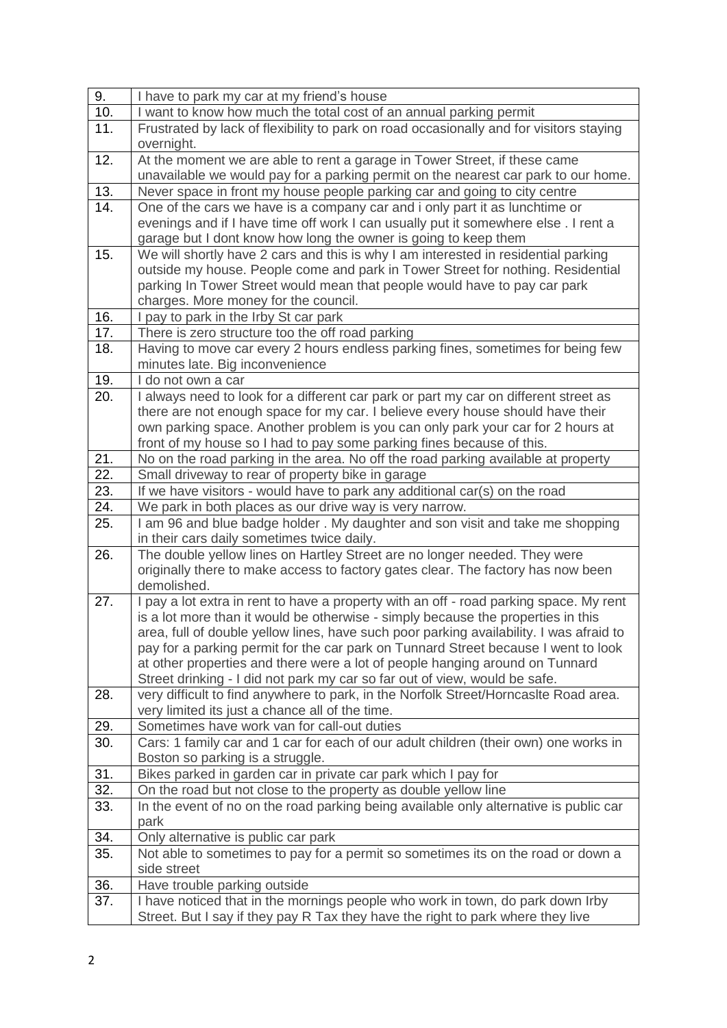| 9.                | I have to park my car at my friend's house                                                                                                                 |
|-------------------|------------------------------------------------------------------------------------------------------------------------------------------------------------|
| 10.               | I want to know how much the total cost of an annual parking permit                                                                                         |
| 11.               | Frustrated by lack of flexibility to park on road occasionally and for visitors staying                                                                    |
|                   | overnight.                                                                                                                                                 |
| 12.               | At the moment we are able to rent a garage in Tower Street, if these came                                                                                  |
|                   | unavailable we would pay for a parking permit on the nearest car park to our home.                                                                         |
| 13.               | Never space in front my house people parking car and going to city centre                                                                                  |
| 14.               | One of the cars we have is a company car and i only part it as lunchtime or                                                                                |
|                   | evenings and if I have time off work I can usually put it somewhere else. I rent a                                                                         |
|                   | garage but I dont know how long the owner is going to keep them                                                                                            |
| 15.               | We will shortly have 2 cars and this is why I am interested in residential parking                                                                         |
|                   | outside my house. People come and park in Tower Street for nothing. Residential                                                                            |
|                   | parking In Tower Street would mean that people would have to pay car park                                                                                  |
|                   | charges. More money for the council.                                                                                                                       |
| 16.               | I pay to park in the Irby St car park                                                                                                                      |
| 17.               | There is zero structure too the off road parking                                                                                                           |
| 18.               | Having to move car every 2 hours endless parking fines, sometimes for being few                                                                            |
| 19.               | minutes late. Big inconvenience<br>I do not own a car                                                                                                      |
| 20.               | I always need to look for a different car park or part my car on different street as                                                                       |
|                   | there are not enough space for my car. I believe every house should have their                                                                             |
|                   | own parking space. Another problem is you can only park your car for 2 hours at                                                                            |
|                   | front of my house so I had to pay some parking fines because of this.                                                                                      |
| 21.               | No on the road parking in the area. No off the road parking available at property                                                                          |
| $\overline{22}$ . | Small driveway to rear of property bike in garage                                                                                                          |
| 23.               | If we have visitors - would have to park any additional car(s) on the road                                                                                 |
| 24.               | We park in both places as our drive way is very narrow.                                                                                                    |
| 25.               | I am 96 and blue badge holder. My daughter and son visit and take me shopping                                                                              |
|                   | in their cars daily sometimes twice daily.                                                                                                                 |
| 26.               | The double yellow lines on Hartley Street are no longer needed. They were                                                                                  |
|                   | originally there to make access to factory gates clear. The factory has now been                                                                           |
|                   | demolished.                                                                                                                                                |
| 27.               | I pay a lot extra in rent to have a property with an off - road parking space. My rent                                                                     |
|                   | is a lot more than it would be otherwise - simply because the properties in this                                                                           |
|                   | area, full of double yellow lines, have such poor parking availability. I was afraid to                                                                    |
|                   | pay for a parking permit for the car park on Tunnard Street because I went to look                                                                         |
|                   | at other properties and there were a lot of people hanging around on Tunnard<br>Street drinking - I did not park my car so far out of view, would be safe. |
| 28.               | very difficult to find anywhere to park, in the Norfolk Street/Horncaslte Road area.                                                                       |
|                   | very limited its just a chance all of the time.                                                                                                            |
| 29.               | Sometimes have work van for call-out duties                                                                                                                |
| 30.               | Cars: 1 family car and 1 car for each of our adult children (their own) one works in                                                                       |
|                   | Boston so parking is a struggle.                                                                                                                           |
| 31.               | Bikes parked in garden car in private car park which I pay for                                                                                             |
| 32.               | On the road but not close to the property as double yellow line                                                                                            |
| 33.               | In the event of no on the road parking being available only alternative is public car                                                                      |
|                   | park                                                                                                                                                       |
| 34.               | Only alternative is public car park                                                                                                                        |
| 35.               | Not able to sometimes to pay for a permit so sometimes its on the road or down a                                                                           |
|                   | side street                                                                                                                                                |
| 36.               | Have trouble parking outside                                                                                                                               |
| 37.               | I have noticed that in the mornings people who work in town, do park down Irby                                                                             |
|                   | Street. But I say if they pay R Tax they have the right to park where they live                                                                            |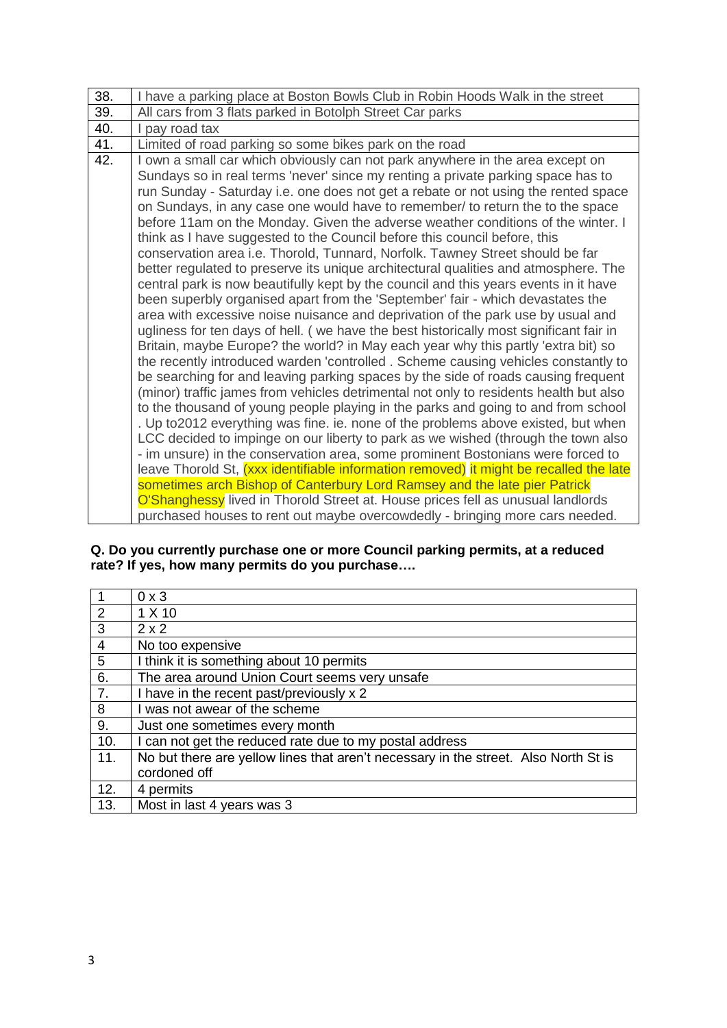| 38. | I have a parking place at Boston Bowls Club in Robin Hoods Walk in the street                                                                                                                                                                                                                                                                                                                                                                                                                                                                                                                                                                                                                                                                                                                                                                                                                                                                                                                                                                                                                                                                                                                                                                                                                                                                                                                                                                                                                                                                                                                                                                                                                                                                                                                                                                                                                                                                                                                                 |
|-----|---------------------------------------------------------------------------------------------------------------------------------------------------------------------------------------------------------------------------------------------------------------------------------------------------------------------------------------------------------------------------------------------------------------------------------------------------------------------------------------------------------------------------------------------------------------------------------------------------------------------------------------------------------------------------------------------------------------------------------------------------------------------------------------------------------------------------------------------------------------------------------------------------------------------------------------------------------------------------------------------------------------------------------------------------------------------------------------------------------------------------------------------------------------------------------------------------------------------------------------------------------------------------------------------------------------------------------------------------------------------------------------------------------------------------------------------------------------------------------------------------------------------------------------------------------------------------------------------------------------------------------------------------------------------------------------------------------------------------------------------------------------------------------------------------------------------------------------------------------------------------------------------------------------------------------------------------------------------------------------------------------------|
| 39. | All cars from 3 flats parked in Botolph Street Car parks                                                                                                                                                                                                                                                                                                                                                                                                                                                                                                                                                                                                                                                                                                                                                                                                                                                                                                                                                                                                                                                                                                                                                                                                                                                                                                                                                                                                                                                                                                                                                                                                                                                                                                                                                                                                                                                                                                                                                      |
| 40. | I pay road tax                                                                                                                                                                                                                                                                                                                                                                                                                                                                                                                                                                                                                                                                                                                                                                                                                                                                                                                                                                                                                                                                                                                                                                                                                                                                                                                                                                                                                                                                                                                                                                                                                                                                                                                                                                                                                                                                                                                                                                                                |
| 41. | Limited of road parking so some bikes park on the road                                                                                                                                                                                                                                                                                                                                                                                                                                                                                                                                                                                                                                                                                                                                                                                                                                                                                                                                                                                                                                                                                                                                                                                                                                                                                                                                                                                                                                                                                                                                                                                                                                                                                                                                                                                                                                                                                                                                                        |
| 42. | I own a small car which obviously can not park anywhere in the area except on<br>Sundays so in real terms 'never' since my renting a private parking space has to<br>run Sunday - Saturday i.e. one does not get a rebate or not using the rented space<br>on Sundays, in any case one would have to remember/ to return the to the space<br>before 11am on the Monday. Given the adverse weather conditions of the winter. I<br>think as I have suggested to the Council before this council before, this<br>conservation area i.e. Thorold, Tunnard, Norfolk. Tawney Street should be far<br>better regulated to preserve its unique architectural qualities and atmosphere. The<br>central park is now beautifully kept by the council and this years events in it have<br>been superbly organised apart from the 'September' fair - which devastates the<br>area with excessive noise nuisance and deprivation of the park use by usual and<br>ugliness for ten days of hell. (we have the best historically most significant fair in<br>Britain, maybe Europe? the world? in May each year why this partly 'extra bit) so<br>the recently introduced warden 'controlled. Scheme causing vehicles constantly to<br>be searching for and leaving parking spaces by the side of roads causing frequent<br>(minor) traffic james from vehicles detrimental not only to residents health but also<br>to the thousand of young people playing in the parks and going to and from school<br>. Up to2012 everything was fine. ie. none of the problems above existed, but when<br>LCC decided to impinge on our liberty to park as we wished (through the town also<br>- im unsure) in the conservation area, some prominent Bostonians were forced to<br>leave Thorold St, (xxx identifiable information removed) it might be recalled the late<br>sometimes arch Bishop of Canterbury Lord Ramsey and the late pier Patrick<br>O'Shanghessy lived in Thorold Street at. House prices fell as unusual landlords |
|     |                                                                                                                                                                                                                                                                                                                                                                                                                                                                                                                                                                                                                                                                                                                                                                                                                                                                                                                                                                                                                                                                                                                                                                                                                                                                                                                                                                                                                                                                                                                                                                                                                                                                                                                                                                                                                                                                                                                                                                                                               |
|     |                                                                                                                                                                                                                                                                                                                                                                                                                                                                                                                                                                                                                                                                                                                                                                                                                                                                                                                                                                                                                                                                                                                                                                                                                                                                                                                                                                                                                                                                                                                                                                                                                                                                                                                                                                                                                                                                                                                                                                                                               |
|     | purchased houses to rent out maybe overcowdedly - bringing more cars needed.                                                                                                                                                                                                                                                                                                                                                                                                                                                                                                                                                                                                                                                                                                                                                                                                                                                                                                                                                                                                                                                                                                                                                                                                                                                                                                                                                                                                                                                                                                                                                                                                                                                                                                                                                                                                                                                                                                                                  |

**Q. Do you currently purchase one or more Council parking permits, at a reduced rate? If yes, how many permits do you purchase….**

| $0 \times 3$                                                                        |
|-------------------------------------------------------------------------------------|
| 1 X 10                                                                              |
| $2 \times 2$                                                                        |
| No too expensive                                                                    |
| I think it is something about 10 permits                                            |
| The area around Union Court seems very unsafe                                       |
| I have in the recent past/previously x 2                                            |
| I was not awear of the scheme                                                       |
| Just one sometimes every month                                                      |
| I can not get the reduced rate due to my postal address                             |
| No but there are yellow lines that aren't necessary in the street. Also North St is |
| cordoned off                                                                        |
| 4 permits                                                                           |
| Most in last 4 years was 3                                                          |
|                                                                                     |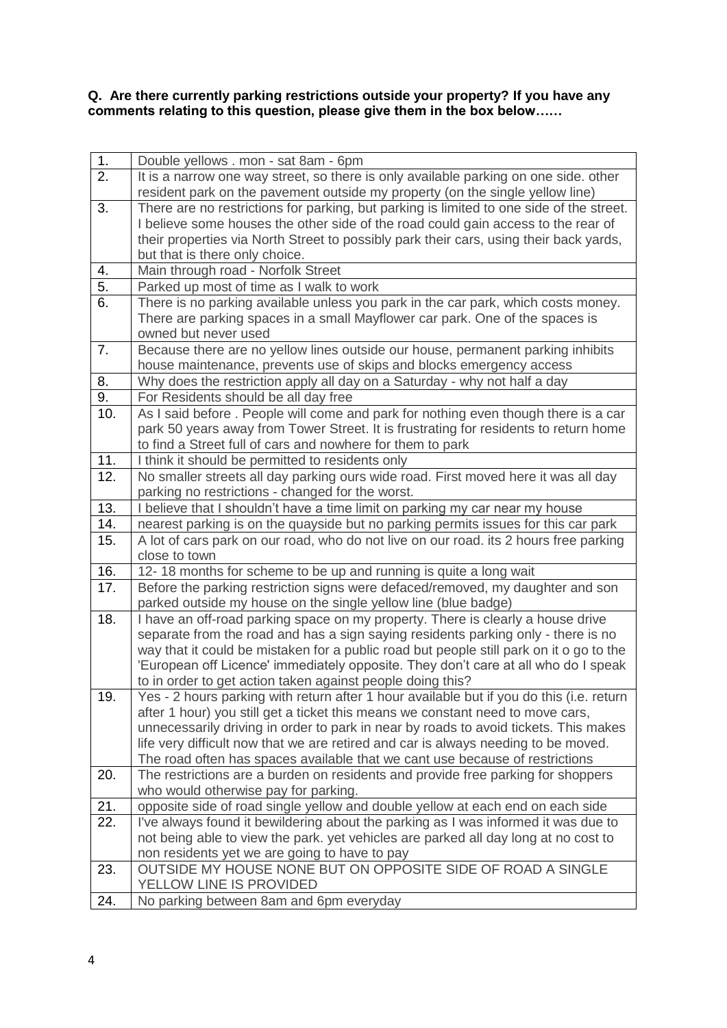**Q. Are there currently parking restrictions outside your property? If you have any comments relating to this question, please give them in the box below……**

| 1.               | Double yellows . mon - sat 8am - 6pm                                                                                                                                 |
|------------------|----------------------------------------------------------------------------------------------------------------------------------------------------------------------|
| $\overline{2}$ . | It is a narrow one way street, so there is only available parking on one side. other                                                                                 |
|                  | resident park on the pavement outside my property (on the single yellow line)                                                                                        |
| 3.               | There are no restrictions for parking, but parking is limited to one side of the street.                                                                             |
|                  | I believe some houses the other side of the road could gain access to the rear of                                                                                    |
|                  | their properties via North Street to possibly park their cars, using their back yards,                                                                               |
|                  | but that is there only choice.                                                                                                                                       |
| 4.               | Main through road - Norfolk Street                                                                                                                                   |
| 5.               | Parked up most of time as I walk to work                                                                                                                             |
| 6.               | There is no parking available unless you park in the car park, which costs money.                                                                                    |
|                  | There are parking spaces in a small Mayflower car park. One of the spaces is                                                                                         |
|                  | owned but never used                                                                                                                                                 |
| 7.               | Because there are no yellow lines outside our house, permanent parking inhibits                                                                                      |
|                  | house maintenance, prevents use of skips and blocks emergency access                                                                                                 |
| 8.               | Why does the restriction apply all day on a Saturday - why not half a day                                                                                            |
| 9.               | For Residents should be all day free                                                                                                                                 |
| 10.              | As I said before . People will come and park for nothing even though there is a car                                                                                  |
|                  | park 50 years away from Tower Street. It is frustrating for residents to return home                                                                                 |
|                  | to find a Street full of cars and nowhere for them to park                                                                                                           |
| 11.              | I think it should be permitted to residents only                                                                                                                     |
| 12.              | No smaller streets all day parking ours wide road. First moved here it was all day                                                                                   |
|                  | parking no restrictions - changed for the worst.                                                                                                                     |
| 13.              | I believe that I shouldn't have a time limit on parking my car near my house                                                                                         |
| 14.              | nearest parking is on the quayside but no parking permits issues for this car park                                                                                   |
| 15.              | A lot of cars park on our road, who do not live on our road. its 2 hours free parking                                                                                |
|                  | close to town                                                                                                                                                        |
| 16.              | 12-18 months for scheme to be up and running is quite a long wait                                                                                                    |
| 17.              | Before the parking restriction signs were defaced/removed, my daughter and son                                                                                       |
| 18.              | parked outside my house on the single yellow line (blue badge)                                                                                                       |
|                  | I have an off-road parking space on my property. There is clearly a house drive<br>separate from the road and has a sign saying residents parking only - there is no |
|                  | way that it could be mistaken for a public road but people still park on it o go to the                                                                              |
|                  | 'European off Licence' immediately opposite. They don't care at all who do I speak                                                                                   |
|                  | to in order to get action taken against people doing this?                                                                                                           |
| 19               | Yes - 2 hours parking with return after 1 hour available but if you do this (i.e. return                                                                             |
|                  | after 1 hour) you still get a ticket this means we constant need to move cars,                                                                                       |
|                  | unnecessarily driving in order to park in near by roads to avoid tickets. This makes                                                                                 |
|                  | life very difficult now that we are retired and car is always needing to be moved.                                                                                   |
|                  | The road often has spaces available that we cant use because of restrictions                                                                                         |
| 20.              | The restrictions are a burden on residents and provide free parking for shoppers                                                                                     |
|                  | who would otherwise pay for parking.                                                                                                                                 |
| 21.              | opposite side of road single yellow and double yellow at each end on each side                                                                                       |
| 22.              | I've always found it bewildering about the parking as I was informed it was due to                                                                                   |
|                  | not being able to view the park. yet vehicles are parked all day long at no cost to                                                                                  |
|                  | non residents yet we are going to have to pay                                                                                                                        |
| 23.              | OUTSIDE MY HOUSE NONE BUT ON OPPOSITE SIDE OF ROAD A SINGLE                                                                                                          |
|                  | YELLOW LINE IS PROVIDED                                                                                                                                              |
| 24.              | No parking between 8am and 6pm everyday                                                                                                                              |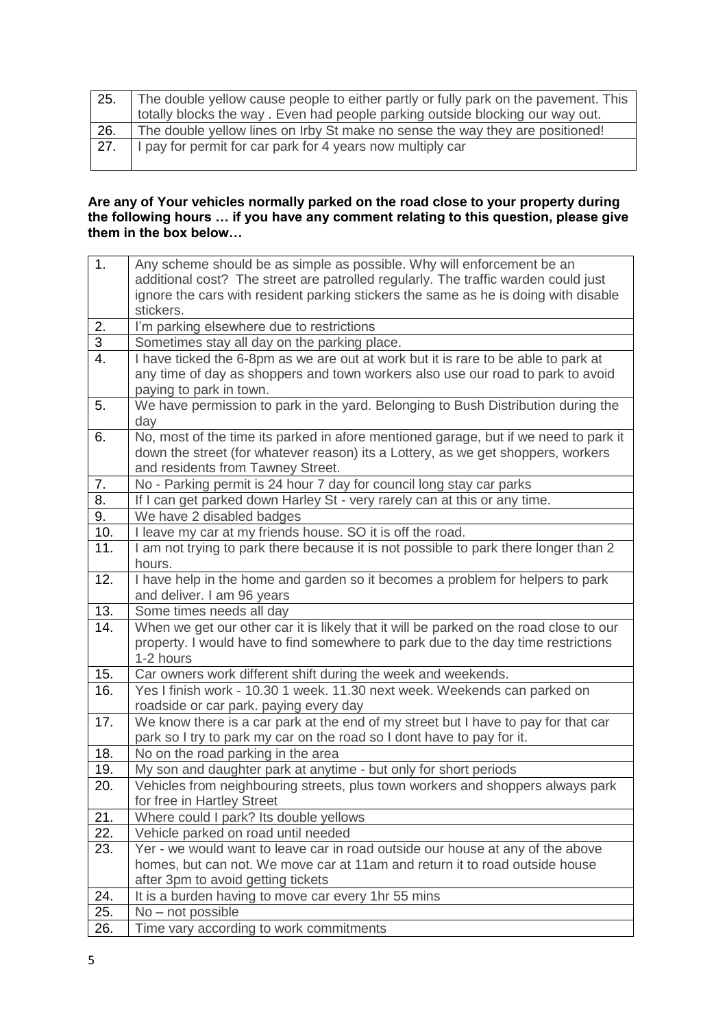| 25. | The double yellow cause people to either partly or fully park on the pavement. This<br>totally blocks the way. Even had people parking outside blocking our way out. |
|-----|----------------------------------------------------------------------------------------------------------------------------------------------------------------------|
|     |                                                                                                                                                                      |
| 26. | The double yellow lines on Irby St make no sense the way they are positioned!                                                                                        |
|     |                                                                                                                                                                      |
| 27. | I pay for permit for car park for 4 years now multiply car                                                                                                           |
|     |                                                                                                                                                                      |
|     |                                                                                                                                                                      |
|     |                                                                                                                                                                      |

#### **Are any of Your vehicles normally parked on the road close to your property during the following hours … if you have any comment relating to this question, please give them in the box below…**

| $\overline{1}$ .          | Any scheme should be as simple as possible. Why will enforcement be an                 |
|---------------------------|----------------------------------------------------------------------------------------|
|                           | additional cost? The street are patrolled regularly. The traffic warden could just     |
|                           | ignore the cars with resident parking stickers the same as he is doing with disable    |
|                           | stickers.                                                                              |
| 2.                        | I'm parking elsewhere due to restrictions                                              |
| $\ensuremath{\mathsf{3}}$ | Sometimes stay all day on the parking place.                                           |
| $\overline{4}$ .          | I have ticked the 6-8pm as we are out at work but it is rare to be able to park at     |
|                           | any time of day as shoppers and town workers also use our road to park to avoid        |
|                           | paying to park in town.                                                                |
| 5.                        | We have permission to park in the yard. Belonging to Bush Distribution during the      |
|                           | day                                                                                    |
| 6.                        | No, most of the time its parked in afore mentioned garage, but if we need to park it   |
|                           | down the street (for whatever reason) its a Lottery, as we get shoppers, workers       |
|                           | and residents from Tawney Street.                                                      |
| 7.                        | No - Parking permit is 24 hour 7 day for council long stay car parks                   |
| 8.                        | If I can get parked down Harley St - very rarely can at this or any time.              |
| 9.                        | We have 2 disabled badges                                                              |
| 10.                       | I leave my car at my friends house. SO it is off the road.                             |
| 11.                       | I am not trying to park there because it is not possible to park there longer than 2   |
|                           | hours.                                                                                 |
| 12.                       | I have help in the home and garden so it becomes a problem for helpers to park         |
|                           | and deliver. I am 96 years                                                             |
| 13.                       | Some times needs all day                                                               |
| 14.                       | When we get our other car it is likely that it will be parked on the road close to our |
|                           | property. I would have to find somewhere to park due to the day time restrictions      |
|                           | 1-2 hours                                                                              |
| 15.                       | Car owners work different shift during the week and weekends.                          |
| 16.                       | Yes I finish work - 10.30 1 week. 11.30 next week. Weekends can parked on              |
|                           | roadside or car park. paying every day                                                 |
| 17.                       | We know there is a car park at the end of my street but I have to pay for that car     |
|                           | park so I try to park my car on the road so I dont have to pay for it.                 |
| 18.                       | No on the road parking in the area                                                     |
| 19.                       | My son and daughter park at anytime - but only for short periods                       |
| 20.                       | Vehicles from neighbouring streets, plus town workers and shoppers always park         |
|                           | for free in Hartley Street                                                             |
| 21.                       | Where could I park? Its double yellows                                                 |
| 22.                       | Vehicle parked on road until needed                                                    |
| 23.                       | Yer - we would want to leave car in road outside our house at any of the above         |
|                           | homes, but can not. We move car at 11am and return it to road outside house            |
|                           | after 3pm to avoid getting tickets                                                     |
| 24.                       | It is a burden having to move car every 1hr 55 mins                                    |
| 25.                       | No - not possible                                                                      |
| 26.                       | Time vary according to work commitments                                                |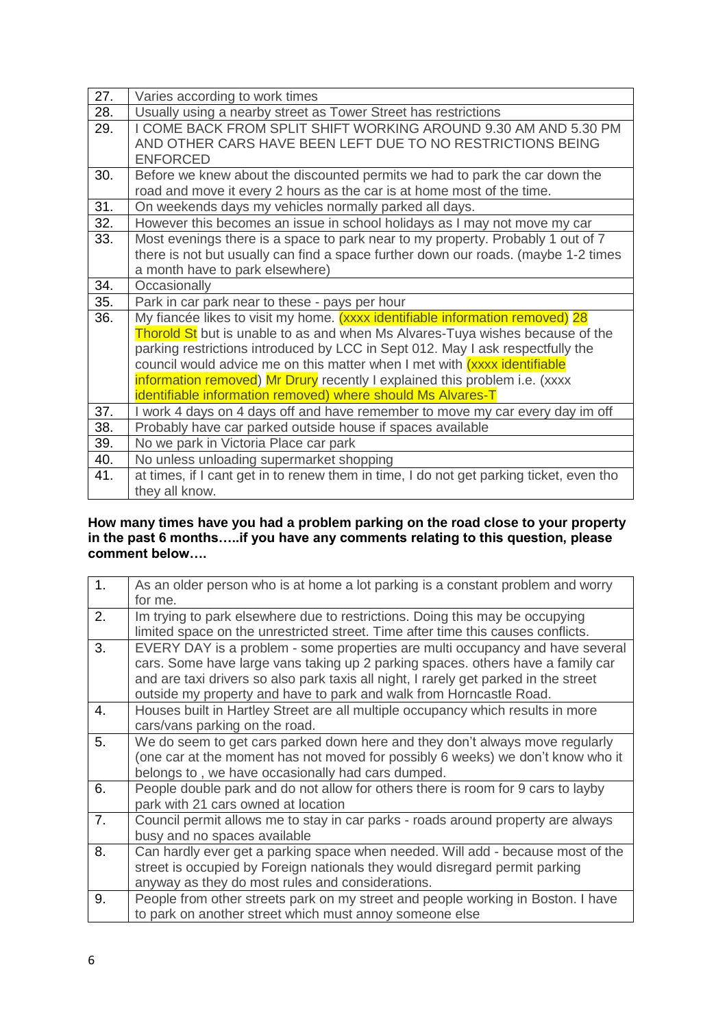| 27. | Varies according to work times                                                          |
|-----|-----------------------------------------------------------------------------------------|
| 28. | Usually using a nearby street as Tower Street has restrictions                          |
| 29. | I COME BACK FROM SPLIT SHIFT WORKING AROUND 9.30 AM AND 5.30 PM                         |
|     | AND OTHER CARS HAVE BEEN LEFT DUE TO NO RESTRICTIONS BEING                              |
|     | <b>ENFORCED</b>                                                                         |
| 30. | Before we knew about the discounted permits we had to park the car down the             |
|     | road and move it every 2 hours as the car is at home most of the time.                  |
| 31. | On weekends days my vehicles normally parked all days.                                  |
| 32. | However this becomes an issue in school holidays as I may not move my car               |
| 33. | Most evenings there is a space to park near to my property. Probably 1 out of 7         |
|     | there is not but usually can find a space further down our roads. (maybe 1-2 times      |
|     | a month have to park elsewhere)                                                         |
| 34. | Occasionally                                                                            |
| 35. | Park in car park near to these - pays per hour                                          |
| 36. |                                                                                         |
|     | My fiancée likes to visit my home. (xxxx identifiable information removed) 28           |
|     | Thorold St but is unable to as and when Ms Alvares-Tuya wishes because of the           |
|     | parking restrictions introduced by LCC in Sept 012. May I ask respectfully the          |
|     | council would advice me on this matter when I met with (xxxx identifiable               |
|     | information removed) Mr Drury recently I explained this problem i.e. (xxxx              |
|     | identifiable information removed) where should Ms Alvares-T                             |
| 37. | I work 4 days on 4 days off and have remember to move my car every day im off           |
| 38. | Probably have car parked outside house if spaces available                              |
| 39. | No we park in Victoria Place car park                                                   |
| 40. | No unless unloading supermarket shopping                                                |
| 41. | at times, if I cant get in to renew them in time, I do not get parking ticket, even tho |

#### **How many times have you had a problem parking on the road close to your property in the past 6 months…..if you have any comments relating to this question, please comment below….**

| 1. | As an older person who is at home a lot parking is a constant problem and worry<br>for me.                                                                                                                                                                                                                                      |
|----|---------------------------------------------------------------------------------------------------------------------------------------------------------------------------------------------------------------------------------------------------------------------------------------------------------------------------------|
| 2. | Im trying to park elsewhere due to restrictions. Doing this may be occupying<br>limited space on the unrestricted street. Time after time this causes conflicts.                                                                                                                                                                |
| 3. | EVERY DAY is a problem - some properties are multi occupancy and have several<br>cars. Some have large vans taking up 2 parking spaces, others have a family car<br>and are taxi drivers so also park taxis all night, I rarely get parked in the street<br>outside my property and have to park and walk from Horncastle Road. |
| 4. | Houses built in Hartley Street are all multiple occupancy which results in more<br>cars/vans parking on the road.                                                                                                                                                                                                               |
| 5. | We do seem to get cars parked down here and they don't always move regularly<br>(one car at the moment has not moved for possibly 6 weeks) we don't know who it<br>belongs to, we have occasionally had cars dumped.                                                                                                            |
| 6. | People double park and do not allow for others there is room for 9 cars to layby<br>park with 21 cars owned at location                                                                                                                                                                                                         |
| 7. | Council permit allows me to stay in car parks - roads around property are always<br>busy and no spaces available                                                                                                                                                                                                                |
| 8. | Can hardly ever get a parking space when needed. Will add - because most of the<br>street is occupied by Foreign nationals they would disregard permit parking<br>anyway as they do most rules and considerations.                                                                                                              |
| 9. | People from other streets park on my street and people working in Boston. I have<br>to park on another street which must annoy someone else                                                                                                                                                                                     |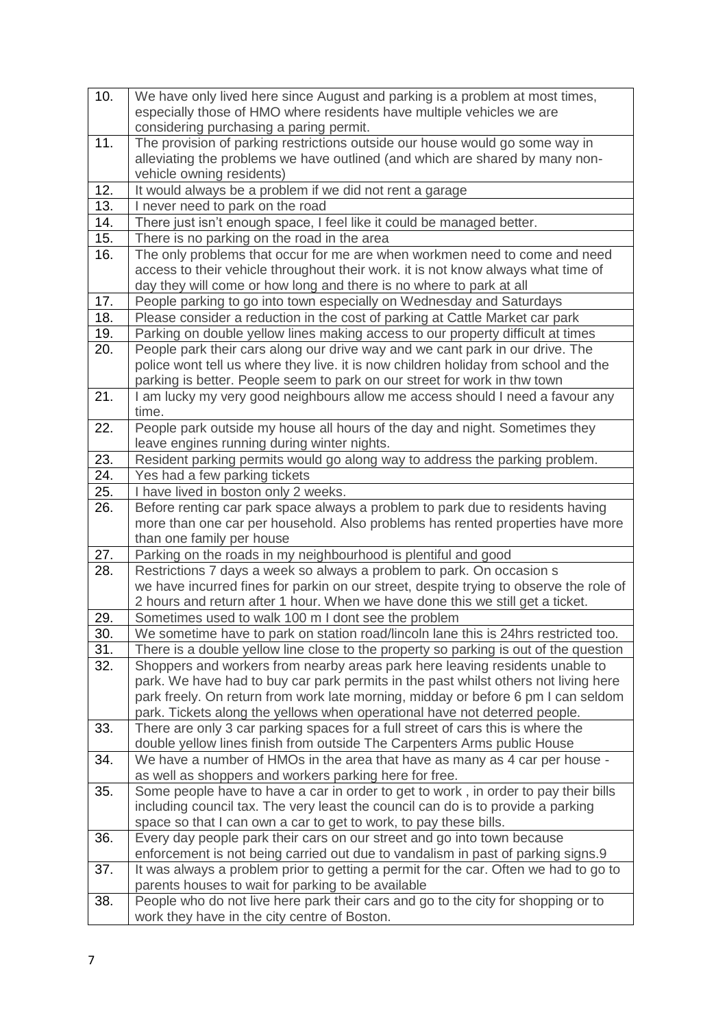| 10. | We have only lived here since August and parking is a problem at most times,<br>especially those of HMO where residents have multiple vehicles we are<br>considering purchasing a paring permit. |
|-----|--------------------------------------------------------------------------------------------------------------------------------------------------------------------------------------------------|
| 11. | The provision of parking restrictions outside our house would go some way in<br>alleviating the problems we have outlined (and which are shared by many non-                                     |
| 12. | vehicle owning residents)<br>It would always be a problem if we did not rent a garage                                                                                                            |
| 13. | I never need to park on the road                                                                                                                                                                 |
| 14. | There just isn't enough space, I feel like it could be managed better.                                                                                                                           |
| 15. | There is no parking on the road in the area                                                                                                                                                      |
| 16. | The only problems that occur for me are when workmen need to come and need                                                                                                                       |
|     | access to their vehicle throughout their work. it is not know always what time of                                                                                                                |
|     | day they will come or how long and there is no where to park at all                                                                                                                              |
| 17. | People parking to go into town especially on Wednesday and Saturdays                                                                                                                             |
| 18. | Please consider a reduction in the cost of parking at Cattle Market car park                                                                                                                     |
| 19. | Parking on double yellow lines making access to our property difficult at times                                                                                                                  |
| 20. | People park their cars along our drive way and we cant park in our drive. The                                                                                                                    |
|     | police wont tell us where they live. it is now children holiday from school and the                                                                                                              |
|     | parking is better. People seem to park on our street for work in thw town                                                                                                                        |
| 21. | I am lucky my very good neighbours allow me access should I need a favour any                                                                                                                    |
|     | time.                                                                                                                                                                                            |
| 22. | People park outside my house all hours of the day and night. Sometimes they                                                                                                                      |
|     | leave engines running during winter nights.                                                                                                                                                      |
| 23. | Resident parking permits would go along way to address the parking problem.                                                                                                                      |
| 24. | Yes had a few parking tickets                                                                                                                                                                    |
| 25. | I have lived in boston only 2 weeks.                                                                                                                                                             |
| 26. | Before renting car park space always a problem to park due to residents having                                                                                                                   |
|     | more than one car per household. Also problems has rented properties have more                                                                                                                   |
|     | than one family per house                                                                                                                                                                        |
| 27. | Parking on the roads in my neighbourhood is plentiful and good                                                                                                                                   |
| 28. | Restrictions 7 days a week so always a problem to park. On occasion s                                                                                                                            |
|     | we have incurred fines for parkin on our street, despite trying to observe the role of                                                                                                           |
|     | 2 hours and return after 1 hour. When we have done this we still get a ticket.                                                                                                                   |
| 29. | Sometimes used to walk 100 m I dont see the problem                                                                                                                                              |
| 30. | We sometime have to park on station road/lincoln lane this is 24hrs restricted too.                                                                                                              |
| 31. | There is a double yellow line close to the property so parking is out of the question                                                                                                            |
| 32. | Shoppers and workers from nearby areas park here leaving residents unable to                                                                                                                     |
|     | park. We have had to buy car park permits in the past whilst others not living here                                                                                                              |
|     | park freely. On return from work late morning, midday or before 6 pm I can seldom                                                                                                                |
|     | park. Tickets along the yellows when operational have not deterred people.                                                                                                                       |
| 33. | There are only 3 car parking spaces for a full street of cars this is where the                                                                                                                  |
|     | double yellow lines finish from outside The Carpenters Arms public House                                                                                                                         |
| 34. | We have a number of HMOs in the area that have as many as 4 car per house -                                                                                                                      |
|     | as well as shoppers and workers parking here for free.                                                                                                                                           |
| 35. | Some people have to have a car in order to get to work, in order to pay their bills                                                                                                              |
|     | including council tax. The very least the council can do is to provide a parking                                                                                                                 |
|     | space so that I can own a car to get to work, to pay these bills.                                                                                                                                |
| 36. | Every day people park their cars on our street and go into town because                                                                                                                          |
|     | enforcement is not being carried out due to vandalism in past of parking signs.9                                                                                                                 |
| 37. | It was always a problem prior to getting a permit for the car. Often we had to go to<br>parents houses to wait for parking to be available                                                       |
| 38. | People who do not live here park their cars and go to the city for shopping or to                                                                                                                |
|     | work they have in the city centre of Boston.                                                                                                                                                     |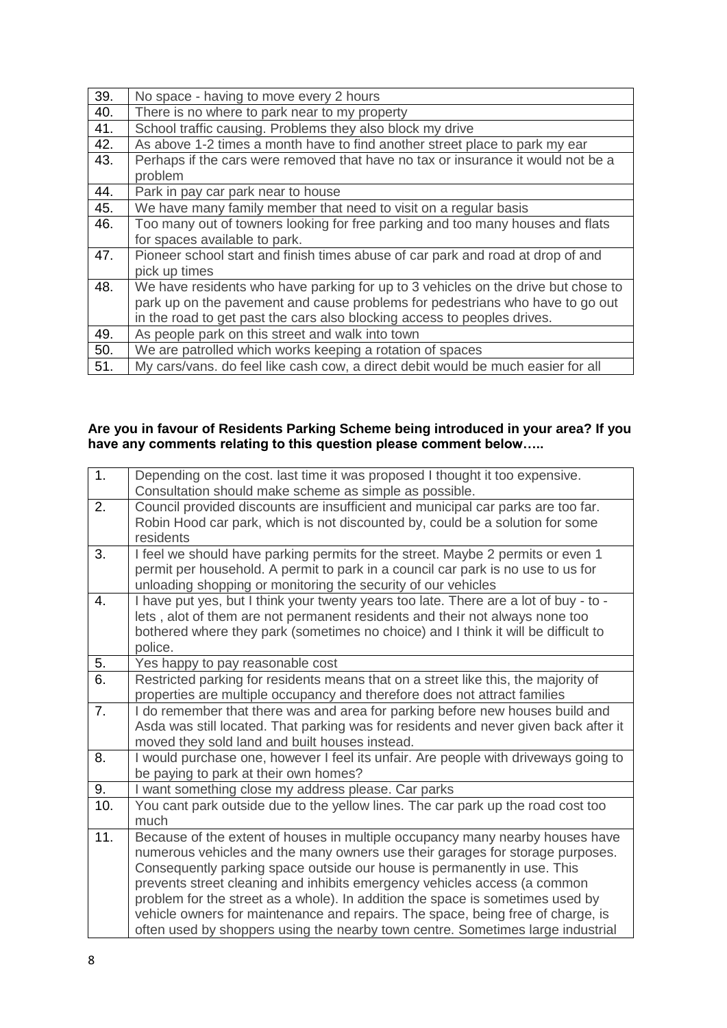| 39. | No space - having to move every 2 hours                                           |
|-----|-----------------------------------------------------------------------------------|
| 40. | There is no where to park near to my property                                     |
| 41. | School traffic causing. Problems they also block my drive                         |
| 42. | As above 1-2 times a month have to find another street place to park my ear       |
| 43. | Perhaps if the cars were removed that have no tax or insurance it would not be a  |
|     | problem                                                                           |
| 44. | Park in pay car park near to house                                                |
| 45. | We have many family member that need to visit on a regular basis                  |
| 46. | Too many out of towners looking for free parking and too many houses and flats    |
|     | for spaces available to park.                                                     |
| 47. | Pioneer school start and finish times abuse of car park and road at drop of and   |
|     | pick up times                                                                     |
| 48. | We have residents who have parking for up to 3 vehicles on the drive but chose to |
|     | park up on the pavement and cause problems for pedestrians who have to go out     |
|     | in the road to get past the cars also blocking access to peoples drives.          |
| 49. | As people park on this street and walk into town                                  |
| 50. | We are patrolled which works keeping a rotation of spaces                         |
| 51. | My cars/vans. do feel like cash cow, a direct debit would be much easier for all  |

#### **Are you in favour of Residents Parking Scheme being introduced in your area? If you have any comments relating to this question please comment below…..**

| 1.  | Depending on the cost. last time it was proposed I thought it too expensive.<br>Consultation should make scheme as simple as possible. |
|-----|----------------------------------------------------------------------------------------------------------------------------------------|
| 2.  | Council provided discounts are insufficient and municipal car parks are too far.                                                       |
|     | Robin Hood car park, which is not discounted by, could be a solution for some                                                          |
|     | residents                                                                                                                              |
| 3.  | I feel we should have parking permits for the street. Maybe 2 permits or even 1                                                        |
|     | permit per household. A permit to park in a council car park is no use to us for                                                       |
|     | unloading shopping or monitoring the security of our vehicles                                                                          |
| 4.  | I have put yes, but I think your twenty years too late. There are a lot of buy - to -                                                  |
|     | lets, alot of them are not permanent residents and their not always none too                                                           |
|     | bothered where they park (sometimes no choice) and I think it will be difficult to                                                     |
|     | police.                                                                                                                                |
| 5.  | Yes happy to pay reasonable cost                                                                                                       |
| 6.  | Restricted parking for residents means that on a street like this, the majority of                                                     |
|     | properties are multiple occupancy and therefore does not attract families                                                              |
| 7.  | I do remember that there was and area for parking before new houses build and                                                          |
|     | Asda was still located. That parking was for residents and never given back after it                                                   |
|     | moved they sold land and built houses instead.                                                                                         |
| 8.  | I would purchase one, however I feel its unfair. Are people with driveways going to                                                    |
|     | be paying to park at their own homes?                                                                                                  |
| 9.  | I want something close my address please. Car parks                                                                                    |
| 10. | You cant park outside due to the yellow lines. The car park up the road cost too                                                       |
|     | much                                                                                                                                   |
| 11. | Because of the extent of houses in multiple occupancy many nearby houses have                                                          |
|     | numerous vehicles and the many owners use their garages for storage purposes.                                                          |
|     | Consequently parking space outside our house is permanently in use. This                                                               |
|     | prevents street cleaning and inhibits emergency vehicles access (a common                                                              |
|     | problem for the street as a whole). In addition the space is sometimes used by                                                         |
|     | vehicle owners for maintenance and repairs. The space, being free of charge, is                                                        |
|     | often used by shoppers using the nearby town centre. Sometimes large industrial                                                        |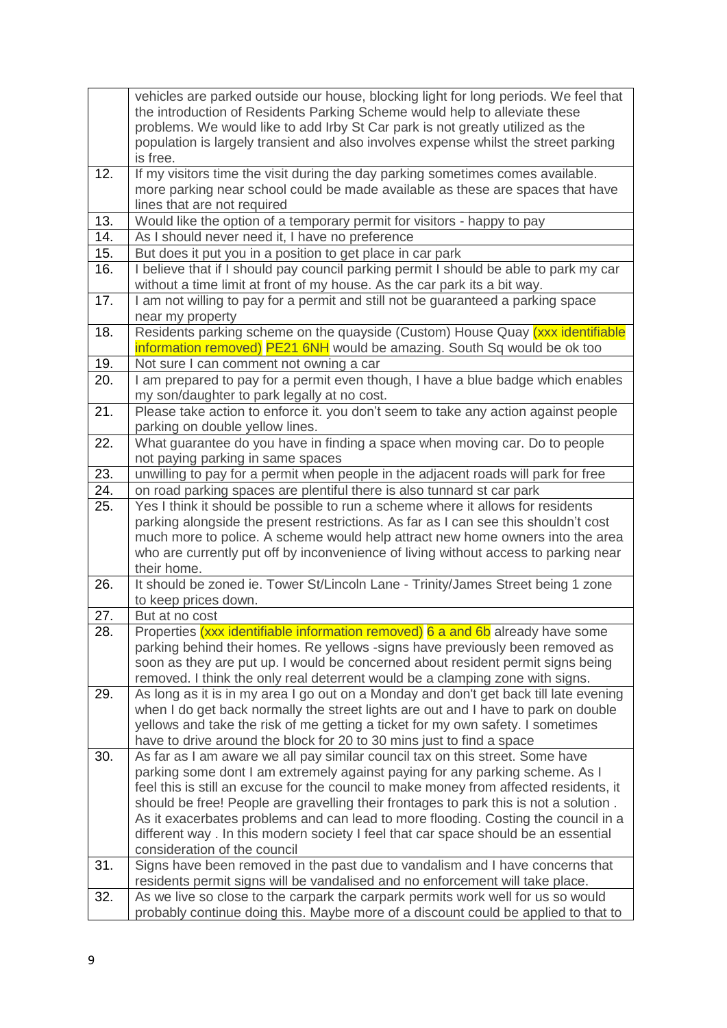|            | vehicles are parked outside our house, blocking light for long periods. We feel that<br>the introduction of Residents Parking Scheme would help to alleviate these<br>problems. We would like to add Irby St Car park is not greatly utilized as the<br>population is largely transient and also involves expense whilst the street parking<br>is free. |
|------------|---------------------------------------------------------------------------------------------------------------------------------------------------------------------------------------------------------------------------------------------------------------------------------------------------------------------------------------------------------|
| 12.        | If my visitors time the visit during the day parking sometimes comes available.<br>more parking near school could be made available as these are spaces that have<br>lines that are not required                                                                                                                                                        |
| 13.        | Would like the option of a temporary permit for visitors - happy to pay                                                                                                                                                                                                                                                                                 |
| 14.        | As I should never need it, I have no preference                                                                                                                                                                                                                                                                                                         |
| 15.        | But does it put you in a position to get place in car park                                                                                                                                                                                                                                                                                              |
| 16.        | I believe that if I should pay council parking permit I should be able to park my car<br>without a time limit at front of my house. As the car park its a bit way.                                                                                                                                                                                      |
| 17.        | I am not willing to pay for a permit and still not be guaranteed a parking space<br>near my property                                                                                                                                                                                                                                                    |
| 18.        | Residents parking scheme on the quayside (Custom) House Quay (xxx identifiable                                                                                                                                                                                                                                                                          |
|            | information removed) PE21 6NH would be amazing. South Sq would be ok too                                                                                                                                                                                                                                                                                |
| 19.        | Not sure I can comment not owning a car                                                                                                                                                                                                                                                                                                                 |
| 20.        | I am prepared to pay for a permit even though, I have a blue badge which enables<br>my son/daughter to park legally at no cost.                                                                                                                                                                                                                         |
| 21.        | Please take action to enforce it. you don't seem to take any action against people<br>parking on double yellow lines.                                                                                                                                                                                                                                   |
| 22.        | What guarantee do you have in finding a space when moving car. Do to people<br>not paying parking in same spaces                                                                                                                                                                                                                                        |
| 23.        | unwilling to pay for a permit when people in the adjacent roads will park for free                                                                                                                                                                                                                                                                      |
| 24.        | on road parking spaces are plentiful there is also tunnard st car park                                                                                                                                                                                                                                                                                  |
| 25.        | Yes I think it should be possible to run a scheme where it allows for residents                                                                                                                                                                                                                                                                         |
|            | parking alongside the present restrictions. As far as I can see this shouldn't cost                                                                                                                                                                                                                                                                     |
|            | much more to police. A scheme would help attract new home owners into the area                                                                                                                                                                                                                                                                          |
|            | who are currently put off by inconvenience of living without access to parking near                                                                                                                                                                                                                                                                     |
|            | their home.                                                                                                                                                                                                                                                                                                                                             |
| 26.        | It should be zoned ie. Tower St/Lincoln Lane - Trinity/James Street being 1 zone                                                                                                                                                                                                                                                                        |
|            | to keep prices down.<br>But at no cost                                                                                                                                                                                                                                                                                                                  |
| 27.<br>28. | Properties (xxx identifiable information removed) 6 a and 6b already have some                                                                                                                                                                                                                                                                          |
|            | parking behind their homes. Re yellows -signs have previously been removed as                                                                                                                                                                                                                                                                           |
|            | soon as they are put up. I would be concerned about resident permit signs being                                                                                                                                                                                                                                                                         |
|            | removed. I think the only real deterrent would be a clamping zone with signs.                                                                                                                                                                                                                                                                           |
| 29.        | As long as it is in my area I go out on a Monday and don't get back till late evening                                                                                                                                                                                                                                                                   |
|            | when I do get back normally the street lights are out and I have to park on double                                                                                                                                                                                                                                                                      |
|            | yellows and take the risk of me getting a ticket for my own safety. I sometimes                                                                                                                                                                                                                                                                         |
|            | have to drive around the block for 20 to 30 mins just to find a space                                                                                                                                                                                                                                                                                   |
| 30.        | As far as I am aware we all pay similar council tax on this street. Some have                                                                                                                                                                                                                                                                           |
|            | parking some dont I am extremely against paying for any parking scheme. As I                                                                                                                                                                                                                                                                            |
|            | feel this is still an excuse for the council to make money from affected residents, it                                                                                                                                                                                                                                                                  |
|            | should be free! People are gravelling their frontages to park this is not a solution.                                                                                                                                                                                                                                                                   |
|            | As it exacerbates problems and can lead to more flooding. Costing the council in a                                                                                                                                                                                                                                                                      |
|            | different way. In this modern society I feel that car space should be an essential<br>consideration of the council                                                                                                                                                                                                                                      |
| 31.        | Signs have been removed in the past due to vandalism and I have concerns that                                                                                                                                                                                                                                                                           |
|            | residents permit signs will be vandalised and no enforcement will take place.                                                                                                                                                                                                                                                                           |
| 32.        | As we live so close to the carpark the carpark permits work well for us so would                                                                                                                                                                                                                                                                        |
|            | probably continue doing this. Maybe more of a discount could be applied to that to                                                                                                                                                                                                                                                                      |